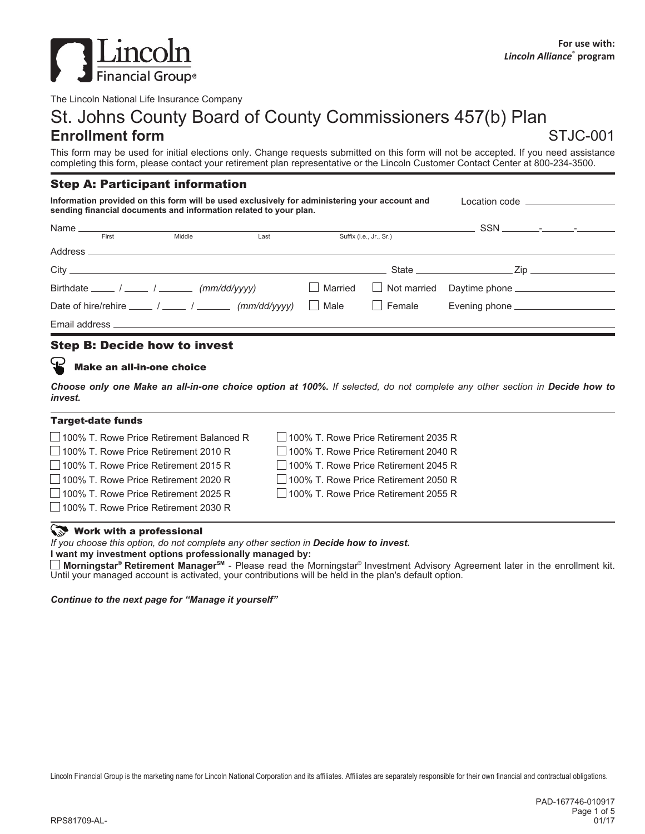

The Lincoln National Life Insurance Company

# St. Johns County Board of County Commissioners 457(b) Plan

# **Enrollment form** STJC-001

This form may be used for initial elections only. Change requests submitted on this form will not be accepted. If you need assistance completing this form, please contact your retirement plan representative or the Lincoln Customer Contact Center at 800-234-3500.

### Step A: Participant information

**Information provided on this form will be used exclusively for administering your account and sending financial documents and information related to your plan.** Location code \_

| First                                                                                 | Middle | Last | Suffix (i.e., Jr., Sr.) |                                                                |  |
|---------------------------------------------------------------------------------------|--------|------|-------------------------|----------------------------------------------------------------|--|
| Address                                                                               |        |      |                         |                                                                |  |
|                                                                                       |        |      |                         |                                                                |  |
| Birthdate $\frac{1}{\sqrt{2\pi}}$ / $\frac{1}{\sqrt{2\pi}}$ (mm/dd/yyyy)              |        |      |                         | □ Married □ Not married Daytime phone <u>□ □ □ □ □ □ □ □ □</u> |  |
| Date of hire/rehire _____ / _____ / ______ ( $mm/dd/yyyy$ ) $\Box$ Male $\Box$ Female |        |      |                         | Evening phone __________________                               |  |
|                                                                                       |        |      |                         |                                                                |  |

## Step B: Decide how to invest

#### Make an all-in-one choice

Choose only one Make an all-in-one choice option at 100%. If selected, do not complete any other section in Decide how to *invest.*

| <b>Target-date funds</b>                    |                                             |  |
|---------------------------------------------|---------------------------------------------|--|
| □ 100% T. Rowe Price Retirement Balanced R  | $\Box$ 100% T. Rowe Price Retirement 2035 R |  |
| $\Box$ 100% T. Rowe Price Retirement 2010 R | 100% T. Rowe Price Retirement 2040 R        |  |
| 100% T. Rowe Price Retirement 2015 R        | 100% T. Rowe Price Retirement 2045 R        |  |
| 100% T. Rowe Price Retirement 2020 R        | 100% T. Rowe Price Retirement 2050 R        |  |
| 100% T. Rowe Price Retirement 2025 R        | □ 100% T. Rowe Price Retirement 2055 R      |  |
| 100% T. Rowe Price Retirement 2030 R        |                                             |  |
|                                             |                                             |  |

#### Work with a professional

*If you choose this option, do not complete any other section in Decide how to invest.*

**I want my investment options professionally managed by:**

Morningstar® Retirement Manager<sup>sм</sup> - Please read the Morningstar® Investment Advisory Agreement later in the enrollment kit. Until your managed account is activated, your contributions will be held in the plan's default option.

*Continue to the next page for "Manage it yourself"*

Lincoln Financial Group is the marketing name for Lincoln National Corporation and its affiliates. Affiliates are separately responsible for their own financial and contractual obligations.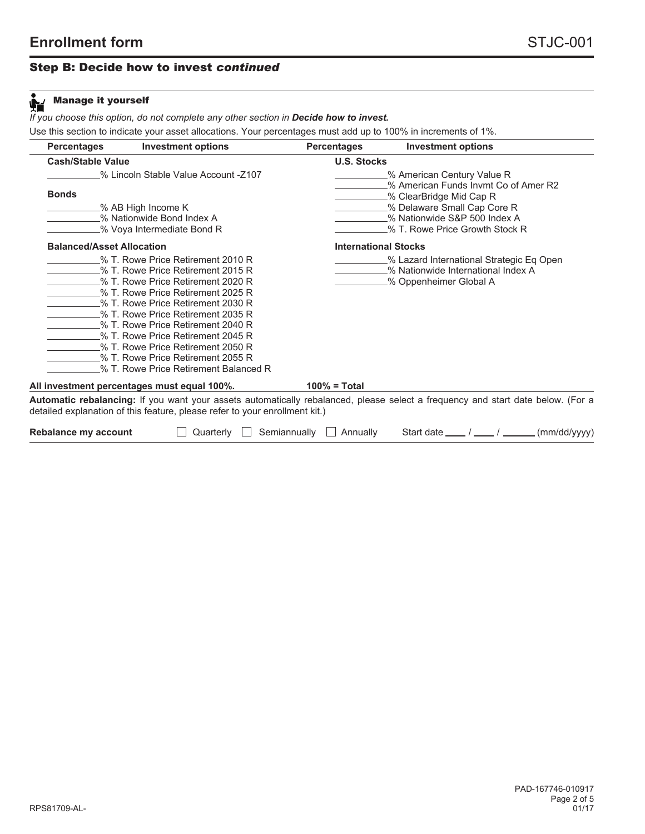# Step B: Decide how to invest *continued*

| <b>Percentages</b>                                                                                                                                                                                                                                                                                                                          | <b>Investment options</b>                                                  | <b>Percentages</b> | <b>Investment options</b>                                                                                                                                                                        |
|---------------------------------------------------------------------------------------------------------------------------------------------------------------------------------------------------------------------------------------------------------------------------------------------------------------------------------------------|----------------------------------------------------------------------------|--------------------|--------------------------------------------------------------------------------------------------------------------------------------------------------------------------------------------------|
| <b>Cash/Stable Value</b>                                                                                                                                                                                                                                                                                                                    |                                                                            | <b>U.S. Stocks</b> |                                                                                                                                                                                                  |
| <b>Bonds</b><br>$\_$ % AB High Income K<br>% Nationwide Bond Index A                                                                                                                                                                                                                                                                        | % Lincoln Stable Value Account -Z107                                       |                    | _% American Century Value R<br>% American Funds Invmt Co of Amer R2<br>% ClearBridge Mid Cap R<br>_% Delaware Small Cap Core R<br>% Nationwide S&P 500 Index A<br>% T. Rowe Price Growth Stock R |
| <b>Balanced/Asset Allocation</b>                                                                                                                                                                                                                                                                                                            | % Voya Intermediate Bond R                                                 |                    | <b>International Stocks</b>                                                                                                                                                                      |
| % T. Rowe Price Retirement 2015 R<br>% T. Rowe Price Retirement 2020 R<br>- % T. Rowe Price Retirement 2025 R<br>% T. Rowe Price Retirement 2030 R<br>% T. Rowe Price Retirement 2035 R<br>% T. Rowe Price Retirement 2040 R<br>% T. Rowe Price Retirement 2045 R<br>% T. Rowe Price Retirement 2050 R<br>% T. Rowe Price Retirement 2055 R | % T. Rowe Price Retirement 2010 R<br>% T. Rowe Price Retirement Balanced R |                    | % Lazard International Strategic Eq Open<br>% Nationwide International Index A<br>% Oppenheimer Global A                                                                                         |
| All investment percentages must equal 100%.                                                                                                                                                                                                                                                                                                 |                                                                            | $100\%$ = Total    |                                                                                                                                                                                                  |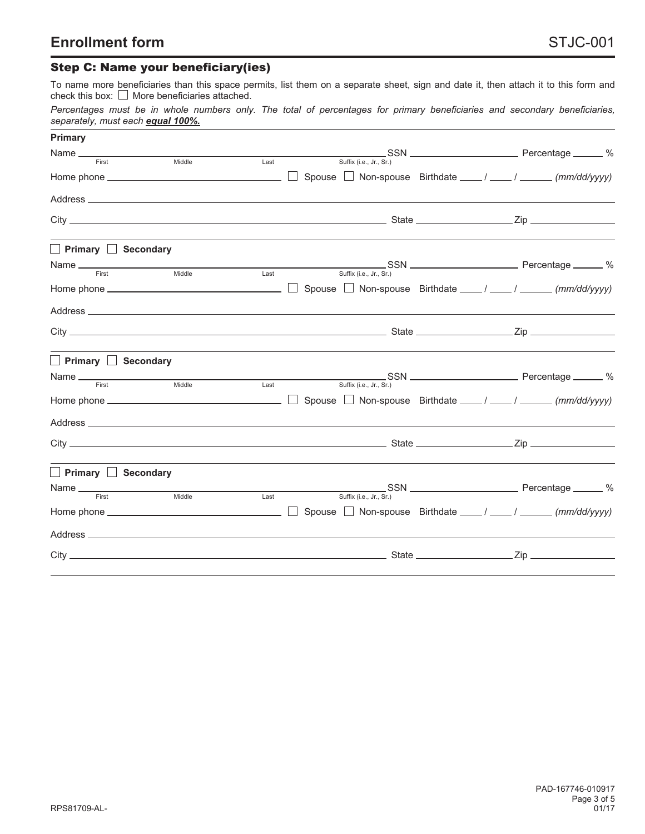# Step C: Name your beneficiary(ies)

To name more beneficiaries than this space permits, list them on a separate sheet, sign and date it, then attach it to this form and check this box:  $\Box$  More beneficiaries attached.

|                                   |  |  |  |  |  |  |  | Percentages must be in whole numbers only. The total of percentages for primary beneficiaries and secondary beneficiaries, |
|-----------------------------------|--|--|--|--|--|--|--|----------------------------------------------------------------------------------------------------------------------------|
| separately, must each equal 100%. |  |  |  |  |  |  |  |                                                                                                                            |

| <b>Primary</b>                  |        |      |                                                                  |  |
|---------------------------------|--------|------|------------------------------------------------------------------|--|
| Name First Middle Last          |        |      | $\frac{S}{S}$ Suffix (i.e., Jr., Sr.)                            |  |
|                                 |        |      | □ Spouse □ Non-spouse Birthdate ____ / ____ / _____ (mm/dd/yyyy) |  |
|                                 |        |      |                                                                  |  |
|                                 |        |      |                                                                  |  |
| $\Box$ Primary $\Box$ Secondary |        |      |                                                                  |  |
|                                 |        |      |                                                                  |  |
|                                 |        |      |                                                                  |  |
|                                 |        |      |                                                                  |  |
|                                 |        |      |                                                                  |  |
| Primary Secondary               |        |      |                                                                  |  |
| Name First                      | Middle | Last | Suffix (i.e., Jr., Sr.)                                          |  |
|                                 |        |      |                                                                  |  |
|                                 |        |      |                                                                  |  |
|                                 |        |      |                                                                  |  |
| Primary Secondary               |        |      |                                                                  |  |
|                                 |        |      | Last<br>Suffix (i.e., Jr., Sr.)                                  |  |
|                                 |        |      |                                                                  |  |
|                                 |        |      |                                                                  |  |
|                                 |        |      |                                                                  |  |
|                                 |        |      |                                                                  |  |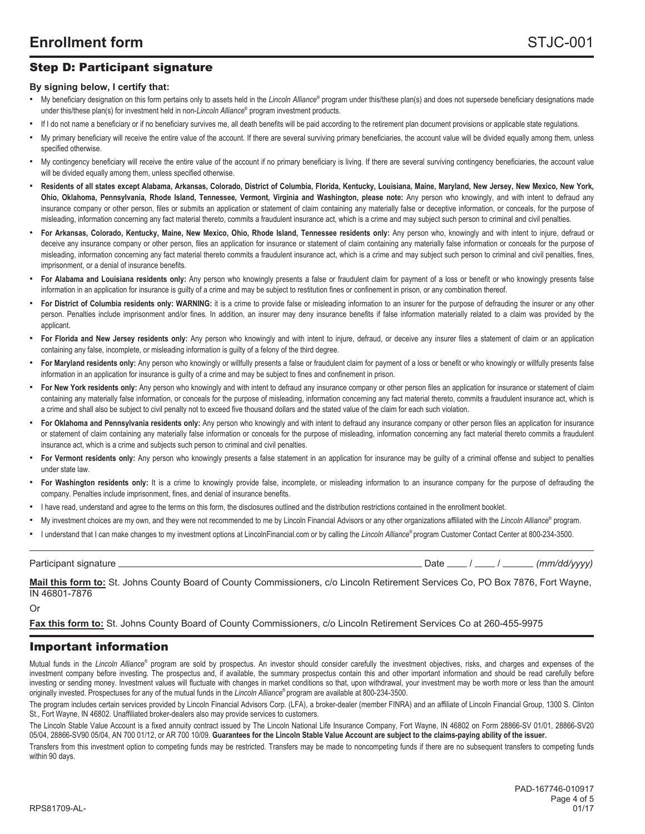# Step D: Participant signature

#### **By signing below, I certify that:**

- My beneficiary designation on this form pertains only to assets held in the *Lincoln Alliance*® program under this/these plan(s) and does not supersede beneficiary designations made under this/these plan(s) for investment held in non-*Lincoln Alliance®* program investment products.
- If I do not name a beneficiary or if no beneficiary survives me, all death benefits will be paid according to the retirement plan document provisions or applicable state regulations.
- My primary beneficiary will receive the entire value of the account. If there are several surviving primary beneficiaries, the account value will be divided equally among them, unless specified otherwise.
- My contingency beneficiary will receive the entire value of the account if no primary beneficiary is living. If there are several surviving contingency beneficiaries, the account value will be divided equally among them, unless specified otherwise.
- Residents of all states except Alabama, Arkansas, Colorado, District of Columbia, Florida, Kentucky, Louisiana, Maine, Maryland, New Jersey, New Mexico, New York, Ohio, Oklahoma, Pennsylvania, Rhode Island, Tennessee, Vermont, Virginia and Washington, please note: Any person who knowingly, and with intent to defraud any insurance company or other person, files or submits an application or statement of claim containing any materially false or deceptive information, or conceals, for the purpose of misleading, information concerning any fact material thereto, commits a fraudulent insurance act, which is a crime and may subject such person to criminal and civil penalties.
- For Arkansas, Colorado, Kentucky, Maine, New Mexico, Ohio, Rhode Island, Tennessee residents only: Any person who, knowingly and with intent to injure, defraud or deceive any insurance company or other person, files an application for insurance or statement of claim containing any materially false information or conceals for the purpose of misleading, information concerning any fact material thereto commits a fraudulent insurance act, which is a crime and may subject such person to criminal and civil penalties, fines, imprisonment, or a denial of insurance benefits.
- **For Alabama and Louisiana residents only:** Any person who knowingly presents a false or fraudulent claim for payment of a loss or benefit or who knowingly presents false information in an application for insurance is guilty of a crime and may be subject to restitution fines or confinement in prison, or any combination thereof.
- For District of Columbia residents only: WARNING: it is a crime to provide false or misleading information to an insurer for the purpose of defrauding the insurer or any other person. Penalties include imprisonment and/or fines. In addition, an insurer may deny insurance benefits if false information materially related to a claim was provided by the applicant.
- **For Florida and New Jersey residents only:** Any person who knowingly and with intent to injure, defraud, or deceive any insurer files a statement of claim or an application containing any false, incomplete, or misleading information is guilty of a felony of the third degree.
- **For Maryland residents only:** Any person who knowingly or willfully presents a false or fraudulent claim for payment of a loss or benefit or who knowingly or willfully presents false information in an application for insurance is guilty of a crime and may be subject to fines and confinement in prison.
- **For New York residents only:** Any person who knowingly and with intent to defraud any insurance company or other person files an application for insurance or statement of claim containing any materially false information, or conceals for the purpose of misleading, information concerning any fact material thereto, commits a fraudulent insurance act, which is a crime and shall also be subject to civil penalty not to exceed five thousand dollars and the stated value of the claim for each such violation.
- **For Oklahoma and Pennsylvania residents only:** Any person who knowingly and with intent to defraud any insurance company or other person files an application for insurance or statement of claim containing any materially false information or conceals for the purpose of misleading, information concerning any fact material thereto commits a fraudulent insurance act, which is a crime and subjects such person to criminal and civil penalties.
- **For Vermont residents only:** Any person who knowingly presents a false statement in an application for insurance may be guilty of a criminal offense and subject to penalties under state law.
- **For Washington residents only:** It is a crime to knowingly provide false, incomplete, or misleading information to an insurance company for the purpose of defrauding the company. Penalties include imprisonment, fines, and denial of insurance benefits.
- I have read, understand and agree to the terms on this form, the disclosures outlined and the distribution restrictions contained in the enrollment booklet.
- My investment choices are my own, and they were not recommended to me by Lincoln Financial Advisors or any other organizations affiliated with the *Lincoln Alliance®* program.
- I understand that I can make changes to my investment options at LincolnFinancial.com or by calling the *Lincoln Alliance®* program Customer Contact Center at 800-234-3500.

Participant signature *(mm/dd/yyyy)* Date  $\frac{1}{2}$  Date  $\frac{1}{2}$  /  $\frac{1}{2}$  (mm/dd/yyyy)

**Mail this form to:** St. Johns County Board of County Commissioners, c/o Lincoln Retirement Services Co, PO Box 7876, Fort Wayne, IN 46801-7876

Or

**Fax this form to:** St. Johns County Board of County Commissioners, c/o Lincoln Retirement Services Co at 260-455-9975

#### Important information

Mutual funds in the Lincoln Alliance<sup>®</sup> program are sold by prospectus. An investor should consider carefully the investment objectives, risks, and charges and expenses of the investment company before investing. The prospectus and, if available, the summary prospectus contain this and other important information and should be read carefully before investing or sending money. Investment values will fluctuate with changes in market conditions so that, upon withdrawal, your investment may be worth more or less than the amount originally invested. Prospectuses for any of the mutual funds in the *Lincoln Alliance®* program are available at 800-234-3500.

The program includes certain services provided by Lincoln Financial Advisors Corp. (LFA), a broker-dealer (member FINRA) and an affiliate of Lincoln Financial Group, 1300 S. Clinton St., Fort Wayne, IN 46802. Unaffiliated broker-dealers also may provide services to customers.

The Lincoln Stable Value Account is a fixed annuity contract issued by The Lincoln National Life Insurance Company, Fort Wayne, IN 46802 on Form 28866-SV 01/01, 28866-SV20 05/04, 28866-SV90 05/04, AN 700 01/12, or AR 700 10/09. Guarantees for the Lincoln Stable Value Account are subject to the claims-paying ability of the issuer.

Transfers from this investment option to competing funds may be restricted. Transfers may be made to noncompeting funds if there are no subsequent transfers to competing funds within 90 days.